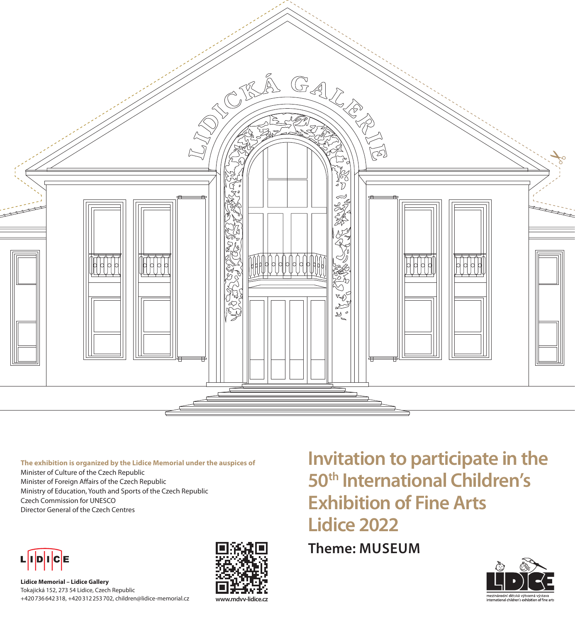

**The exhibition is organized by the Lidice Memorial under the auspices of** Minister of Culture of the Czech Republic Minister of Foreign Affairs of the Czech Republic Ministry of Education, Youth and Sports of the Czech Republic Czech Commission for UNESCO Director General of the Czech Centres



**Lidice Memorial – Lidice Gallery** Tokajická 152, 273 54 Lidice, Czech Republic +420736642318, +420312253702, children@lidice-memorial.cz



**Invitation to participate in the 50th International Children's Exhibition of Fine Arts Lidice 2022**

**Theme: MUSEUM**